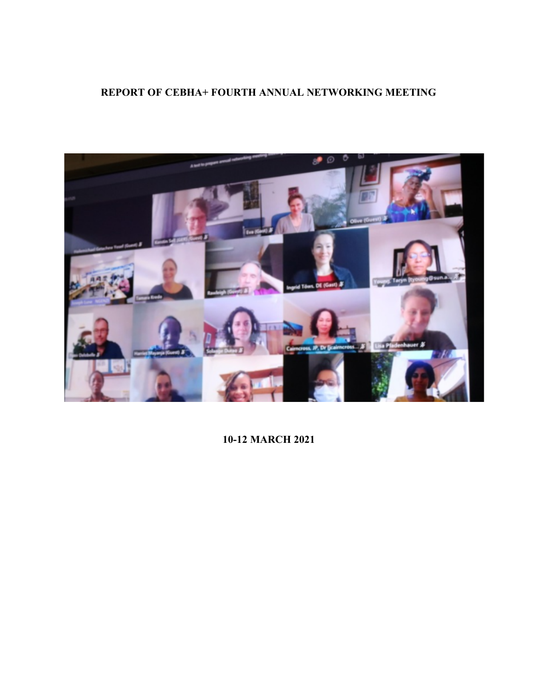## **REPORT OF CEBHA+ FOURTH ANNUAL NETWORKING MEETING**



**10-12 MARCH 2021**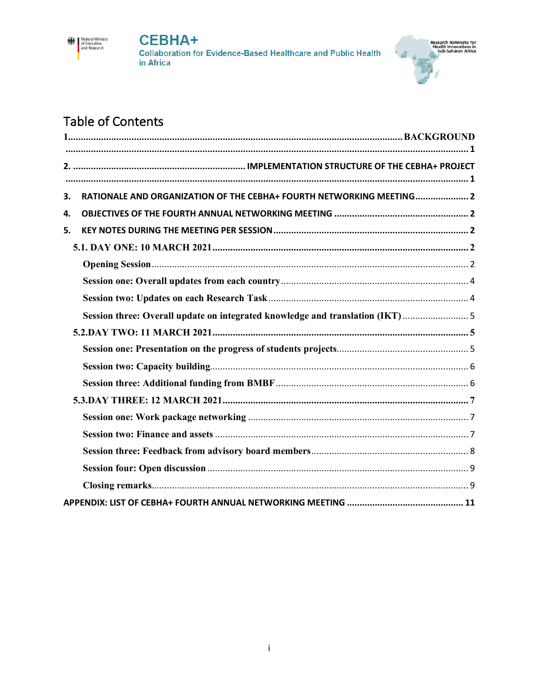



# **Table of Contents**

| RATIONALE AND ORGANIZATION OF THE CEBHA+ FOURTH NETWORKING MEETING 2<br>3.    |
|-------------------------------------------------------------------------------|
| 4.                                                                            |
| 5.                                                                            |
|                                                                               |
|                                                                               |
|                                                                               |
|                                                                               |
| Session three: Overall update on integrated knowledge and translation (IKT) 5 |
|                                                                               |
|                                                                               |
|                                                                               |
|                                                                               |
|                                                                               |
|                                                                               |
|                                                                               |
|                                                                               |
|                                                                               |
|                                                                               |
|                                                                               |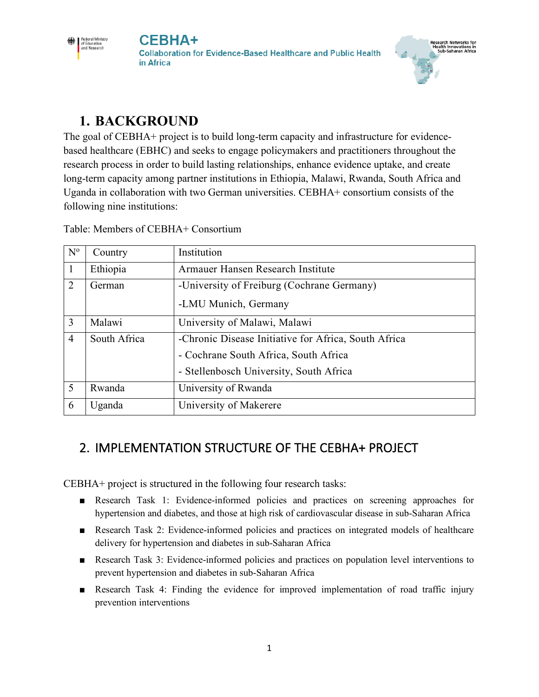



# **1. BACKGROUND**

The goal of CEBHA+ project is to build long-term capacity and infrastructure for evidencebased healthcare (EBHC) and seeks to engage policymakers and practitioners throughout the research process in order to build lasting relationships, enhance evidence uptake, and create long-term capacity among partner institutions in Ethiopia, Malawi, Rwanda, South Africa and Uganda in collaboration with two German universities. CEBHA+ consortium consists of the following nine institutions:

Table: Members of CEBHA+ Consortium

| $N^{\rm o}$    | Country      | Institution                                          |
|----------------|--------------|------------------------------------------------------|
| $\mathbf{1}$   | Ethiopia     | Armauer Hansen Research Institute                    |
| 2              | German       | -University of Freiburg (Cochrane Germany)           |
|                |              | -LMU Munich, Germany                                 |
| 3              | Malawi       | University of Malawi, Malawi                         |
| $\overline{4}$ | South Africa | -Chronic Disease Initiative for Africa, South Africa |
|                |              | - Cochrane South Africa, South Africa                |
|                |              | - Stellenbosch University, South Africa              |
| 5              | Rwanda       | University of Rwanda                                 |
| 6              | Uganda       | University of Makerere                               |

## 2. IMPLEMENTATION STRUCTURE OF THE CEBHA+ PROJECT

CEBHA+ project is structured in the following four research tasks:

- Research Task 1: Evidence-informed policies and practices on screening approaches for hypertension and diabetes, and those at high risk of cardiovascular disease in sub-Saharan Africa
- Research Task 2: Evidence-informed policies and practices on integrated models of healthcare delivery for hypertension and diabetes in sub-Saharan Africa
- Research Task 3: Evidence-informed policies and practices on population level interventions to prevent hypertension and diabetes in sub-Saharan Africa
- Research Task 4: Finding the evidence for improved implementation of road traffic injury prevention interventions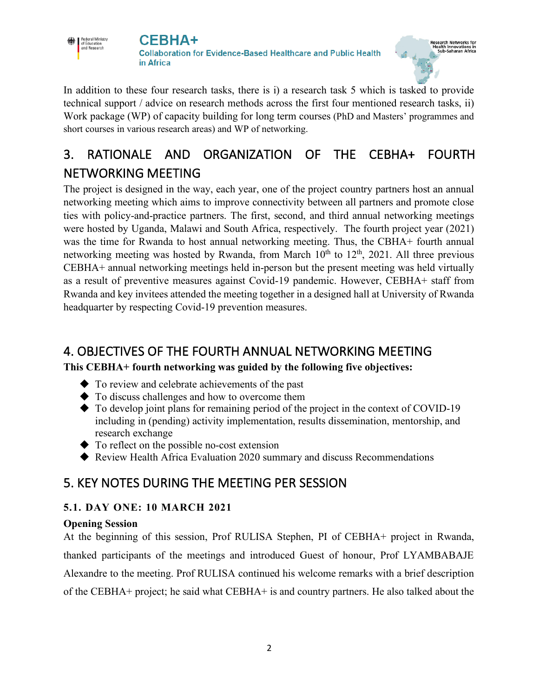



In addition to these four research tasks, there is i) a research task 5 which is tasked to provide technical support / advice on research methods across the first four mentioned research tasks, ii) Work package (WP) of capacity building for long term courses (PhD and Masters' programmes and short courses in various research areas) and WP of networking.

# 3. RATIONALE AND ORGANIZATION OF THE CEBHA+ FOURTH NETWORKING MEETING

The project is designed in the way, each year, one of the project country partners host an annual networking meeting which aims to improve connectivity between all partners and promote close ties with policy-and-practice partners. The first, second, and third annual networking meetings were hosted by Uganda, Malawi and South Africa, respectively. The fourth project year (2021) was the time for Rwanda to host annual networking meeting. Thus, the CBHA+ fourth annual networking meeting was hosted by Rwanda, from March  $10<sup>th</sup>$  to  $12<sup>th</sup>$ ,  $2021$ . All three previous CEBHA+ annual networking meetings held in-person but the present meeting was held virtually as a result of preventive measures against Covid-19 pandemic. However, CEBHA+ staff from Rwanda and key invitees attended the meeting together in a designed hall at University of Rwanda headquarter by respecting Covid-19 prevention measures.

## 4. OBJECTIVES OF THE FOURTH ANNUAL NETWORKING MEETING

## **This CEBHA+ fourth networking was guided by the following five objectives:**

- $\blacklozenge$  To review and celebrate achievements of the past
- $\blacklozenge$  To discuss challenges and how to overcome them
- $\blacklozenge$  To develop joint plans for remaining period of the project in the context of COVID-19 including in (pending) activity implementation, results dissemination, mentorship, and research exchange
- $\blacklozenge$  To reflect on the possible no-cost extension
- $\blacklozenge$  Review Health Africa Evaluation 2020 summary and discuss Recommendations

# 5. KEY NOTES DURING THE MEETING PER SESSION

## **5.1. DAY ONE: 10 MARCH 2021**

## **Opening Session**

At the beginning of this session, Prof RULISA Stephen, PI of CEBHA+ project in Rwanda, thanked participants of the meetings and introduced Guest of honour, Prof LYAMBABAJE Alexandre to the meeting. Prof RULISA continued his welcome remarks with a brief description of the CEBHA+ project; he said what CEBHA+ is and country partners. He also talked about the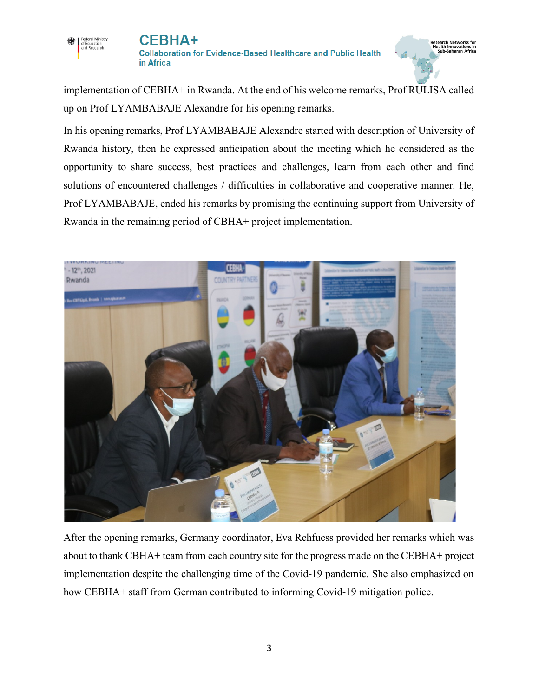

implementation of CEBHA+ in Rwanda. At the end of his welcome remarks, Prof RULISA called up on Prof LYAMBABAJE Alexandre for his opening remarks.

In his opening remarks, Prof LYAMBABAJE Alexandre started with description of University of Rwanda history, then he expressed anticipation about the meeting which he considered as the opportunity to share success, best practices and challenges, learn from each other and find solutions of encountered challenges / difficulties in collaborative and cooperative manner. He, Prof LYAMBABAJE, ended his remarks by promising the continuing support from University of Rwanda in the remaining period of CBHA+ project implementation.



After the opening remarks, Germany coordinator, Eva Rehfuess provided her remarks which was about to thank CBHA+ team from each country site for the progress made on the CEBHA+ project implementation despite the challenging time of the Covid-19 pandemic. She also emphasized on how CEBHA+ staff from German contributed to informing Covid-19 mitigation police.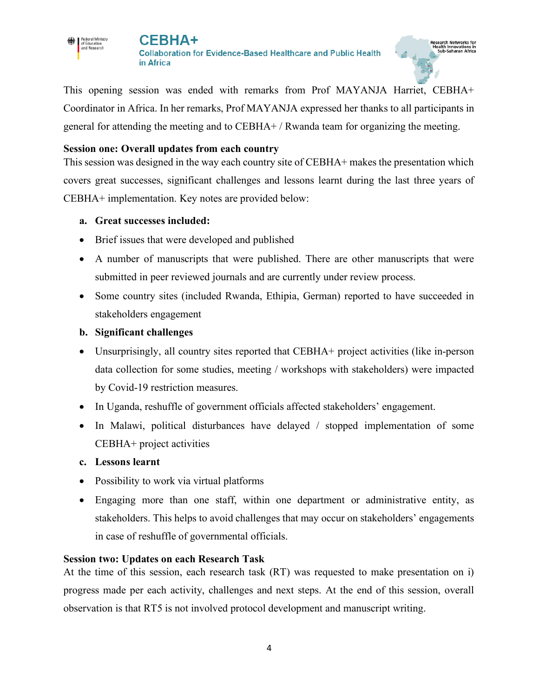

This opening session was ended with remarks from Prof MAYANJA Harriet, CEBHA+ Coordinator in Africa. In her remarks, Prof MAYANJA expressed her thanks to all participants in general for attending the meeting and to CEBHA+ / Rwanda team for organizing the meeting.

#### **Session one: Overall updates from each country**

This session was designed in the way each country site of CEBHA+ makes the presentation which covers great successes, significant challenges and lessons learnt during the last three years of CEBHA+ implementation. Key notes are provided below:

#### **a. Great successes included:**

Federal Ministry<br>of Education<br>and Research

- Brief issues that were developed and published
- A number of manuscripts that were published. There are other manuscripts that were submitted in peer reviewed journals and are currently under review process.
- Some country sites (included Rwanda, Ethipia, German) reported to have succeeded in stakeholders engagement

### **b. Significant challenges**

- Unsurprisingly, all country sites reported that CEBHA+ project activities (like in-person data collection for some studies, meeting / workshops with stakeholders) were impacted by Covid-19 restriction measures.
- In Uganda, reshuffle of government officials affected stakeholders' engagement.
- In Malawi, political disturbances have delayed / stopped implementation of some CEBHA+ project activities
- **c. Lessons learnt**
- Possibility to work via virtual platforms
- Engaging more than one staff, within one department or administrative entity, as stakeholders. This helps to avoid challenges that may occur on stakeholders' engagements in case of reshuffle of governmental officials.

### **Session two: Updates on each Research Task**

At the time of this session, each research task (RT) was requested to make presentation on i) progress made per each activity, challenges and next steps. At the end of this session, overall observation is that RT5 is not involved protocol development and manuscript writing.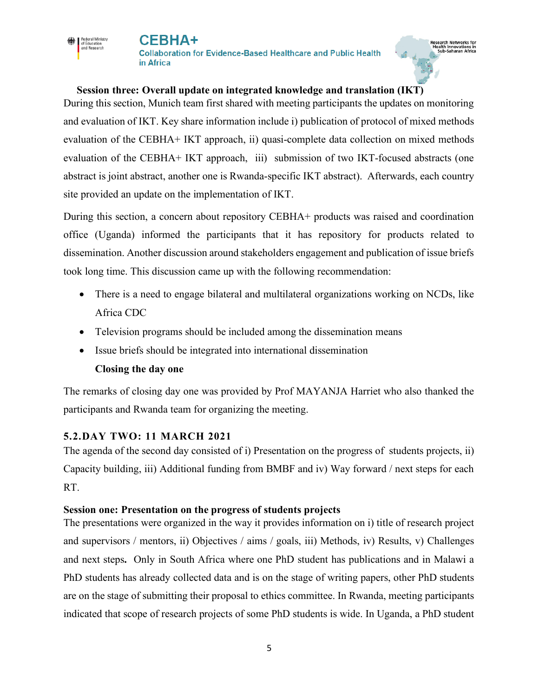#### **Session three: Overall update on integrated knowledge and translation (IKT)**

During this section, Munich team first shared with meeting participants the updates on monitoring and evaluation of IKT. Key share information include i) publication of protocol of mixed methods evaluation of the CEBHA+ IKT approach, ii) quasi-complete data collection on mixed methods evaluation of the CEBHA+ IKT approach, iii) submission of two IKT-focused abstracts (one abstract is joint abstract, another one is Rwanda-specific IKT abstract). Afterwards, each country site provided an update on the implementation of IKT.

During this section, a concern about repository CEBHA+ products was raised and coordination office (Uganda) informed the participants that it has repository for products related to dissemination. Another discussion around stakeholders engagement and publication of issue briefs took long time. This discussion came up with the following recommendation:

- There is a need to engage bilateral and multilateral organizations working on NCDs, like Africa CDC
- Television programs should be included among the dissemination means
- Issue briefs should be integrated into international dissemination

### **Closing the day one**

Federal Ministry<br>of Education<br>and Research

The remarks of closing day one was provided by Prof MAYANJA Harriet who also thanked the participants and Rwanda team for organizing the meeting.

### **5.2.DAY TWO: 11 MARCH 2021**

The agenda of the second day consisted of i) Presentation on the progress of students projects, ii) Capacity building, iii) Additional funding from BMBF and iv) Way forward / next steps for each RT.

#### **Session one: Presentation on the progress of students projects**

The presentations were organized in the way it provides information on i) title of research project and supervisors / mentors, ii) Objectives / aims / goals, iii) Methods, iv) Results, v) Challenges and next steps**.** Only in South Africa where one PhD student has publications and in Malawi a PhD students has already collected data and is on the stage of writing papers, other PhD students are on the stage of submitting their proposal to ethics committee. In Rwanda, meeting participants indicated that scope of research projects of some PhD students is wide. In Uganda, a PhD student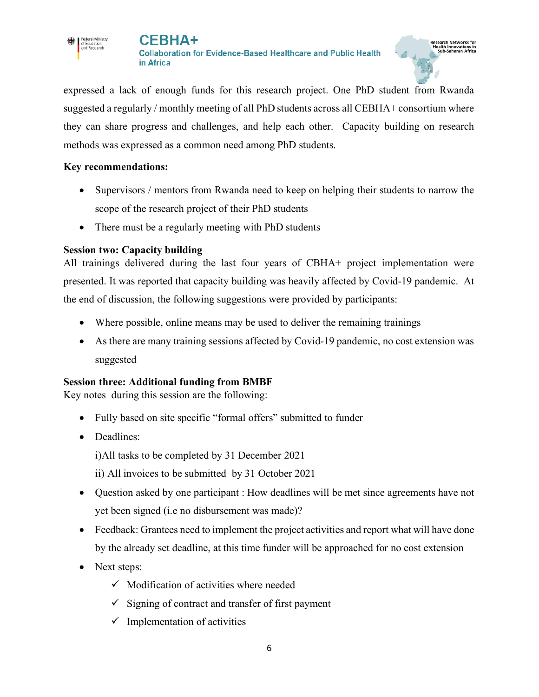

expressed a lack of enough funds for this research project. One PhD student from Rwanda suggested a regularly / monthly meeting of all PhD students across all CEBHA+ consortium where they can share progress and challenges, and help each other. Capacity building on research methods was expressed as a common need among PhD students.

### **Key recommendations:**

- Supervisors / mentors from Rwanda need to keep on helping their students to narrow the scope of the research project of their PhD students
- There must be a regularly meeting with PhD students

## **Session two: Capacity building**

All trainings delivered during the last four years of CBHA+ project implementation were presented. It was reported that capacity building was heavily affected by Covid-19 pandemic. At the end of discussion, the following suggestions were provided by participants:

- Where possible, online means may be used to deliver the remaining trainings
- As there are many training sessions affected by Covid-19 pandemic, no cost extension was suggested

### **Session three: Additional funding from BMBF**

Key notes during this session are the following:

- Fully based on site specific "formal offers" submitted to funder
- Deadlines:

i)All tasks to be completed by 31 December 2021

ii) All invoices to be submitted by 31 October 2021

- Question asked by one participant : How deadlines will be met since agreements have not yet been signed (i.e no disbursement was made)?
- Feedback: Grantees need to implement the project activities and report what will have done by the already set deadline, at this time funder will be approached for no cost extension
- Next steps:
	- $\checkmark$  Modification of activities where needed
	- $\checkmark$  Signing of contract and transfer of first payment
	- $\checkmark$  Implementation of activities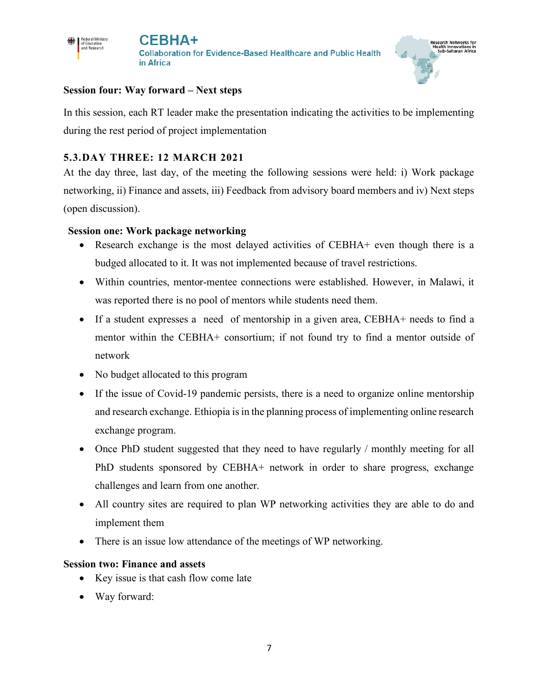



#### **Session four: Way forward – Next steps**

Federal Ministry<br>of Education<br>and Research

In this session, each RT leader make the presentation indicating the activities to be implementing during the rest period of project implementation

#### **5.3.DAY THREE: 12 MARCH 2021**

At the day three, last day, of the meeting the following sessions were held: i) Work package networking, ii) Finance and assets, iii) Feedback from advisory board members and iv) Next steps (open discussion).

#### **Session one: Work package networking**

- Research exchange is the most delayed activities of CEBHA+ even though there is a budged allocated to it. It was not implemented because of travel restrictions.
- Within countries, mentor-mentee connections were established. However, in Malawi, it was reported there is no pool of mentors while students need them.
- If a student expresses a need of mentorship in a given area, CEBHA+ needs to find a mentor within the CEBHA+ consortium; if not found try to find a mentor outside of network
- No budget allocated to this program
- If the issue of Covid-19 pandemic persists, there is a need to organize online mentorship and research exchange. Ethiopia is in the planning process of implementing online research exchange program.
- Once PhD student suggested that they need to have regularly / monthly meeting for all PhD students sponsored by CEBHA+ network in order to share progress, exchange challenges and learn from one another.
- All country sites are required to plan WP networking activities they are able to do and implement them
- There is an issue low attendance of the meetings of WP networking.

#### **Session two: Finance and assets**

- Key issue is that cash flow come late
- Way forward: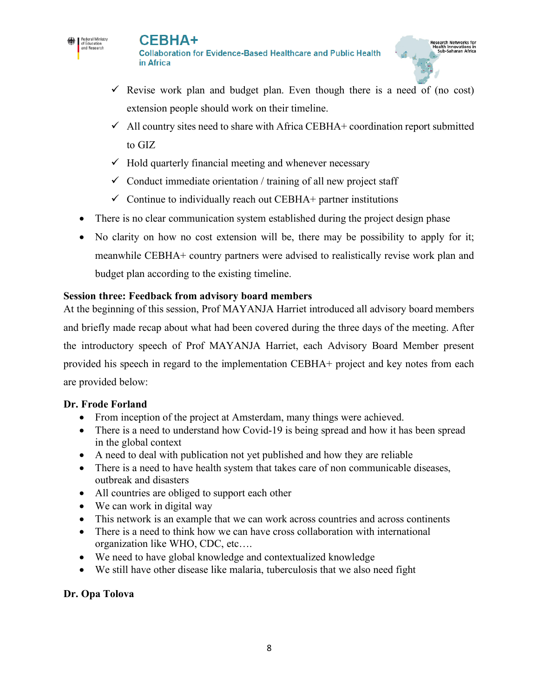



- $\checkmark$  All country sites need to share with Africa CEBHA+ coordination report submitted to GIZ
- $\checkmark$  Hold quarterly financial meeting and whenever necessary
- $\checkmark$  Conduct immediate orientation / training of all new project staff
- $\checkmark$  Continue to individually reach out CEBHA+ partner institutions
- There is no clear communication system established during the project design phase
- No clarity on how no cost extension will be, there may be possibility to apply for it; meanwhile CEBHA+ country partners were advised to realistically revise work plan and budget plan according to the existing timeline.

#### **Session three: Feedback from advisory board members**

At the beginning of this session, Prof MAYANJA Harriet introduced all advisory board members and briefly made recap about what had been covered during the three days of the meeting. After the introductory speech of Prof MAYANJA Harriet, each Advisory Board Member present provided his speech in regard to the implementation CEBHA+ project and key notes from each are provided below:

#### **Dr. Frode Forland**

- From inception of the project at Amsterdam, many things were achieved.
- There is a need to understand how Covid-19 is being spread and how it has been spread in the global context
- A need to deal with publication not yet published and how they are reliable
- There is a need to have health system that takes care of non communicable diseases, outbreak and disasters
- All countries are obliged to support each other
- We can work in digital way
- This network is an example that we can work across countries and across continents
- There is a need to think how we can have cross collaboration with international organization like WHO, CDC, etc….
- We need to have global knowledge and contextualized knowledge
- We still have other disease like malaria, tuberculosis that we also need fight

#### **Dr. Opa Tolova**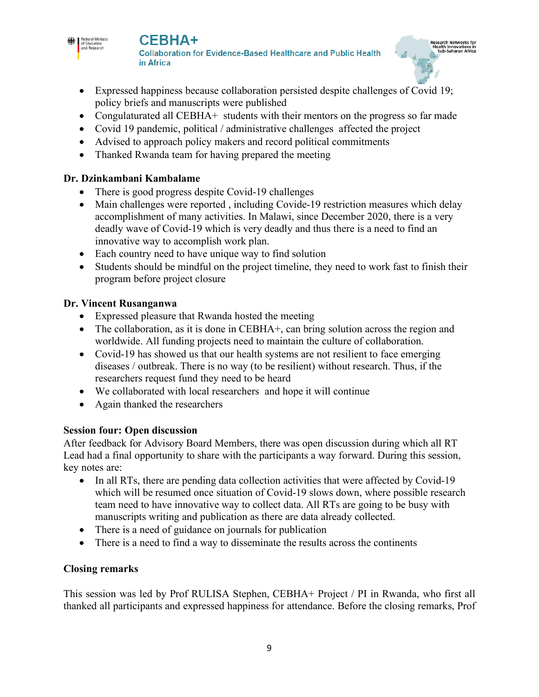**CEBHA+ Collaboration for Evidence-Based Healthcare and Public Health** in Africa

- Expressed happiness because collaboration persisted despite challenges of Covid 19; policy briefs and manuscripts were published
- Congulaturated all CEBHA+ students with their mentors on the progress so far made
- Covid 19 pandemic, political / administrative challenges affected the project
- Advised to approach policy makers and record political commitments
- Thanked Rwanda team for having prepared the meeting

### **Dr. Dzinkambani Kambalame**

Federal Ministry<br>of Education<br>and Research

- There is good progress despite Covid-19 challenges
- Main challenges were reported, including Covide-19 restriction measures which delay accomplishment of many activities. In Malawi, since December 2020, there is a very deadly wave of Covid-19 which is very deadly and thus there is a need to find an innovative way to accomplish work plan.
- Each country need to have unique way to find solution
- Students should be mindful on the project timeline, they need to work fast to finish their program before project closure

### **Dr. Vincent Rusanganwa**

- Expressed pleasure that Rwanda hosted the meeting
- The collaboration, as it is done in CEBHA+, can bring solution across the region and worldwide. All funding projects need to maintain the culture of collaboration.
- Covid-19 has showed us that our health systems are not resilient to face emerging diseases / outbreak. There is no way (to be resilient) without research. Thus, if the researchers request fund they need to be heard
- We collaborated with local researchers and hope it will continue
- Again thanked the researchers

## **Session four: Open discussion**

After feedback for Advisory Board Members, there was open discussion during which all RT Lead had a final opportunity to share with the participants a way forward. During this session, key notes are:

- In all RTs, there are pending data collection activities that were affected by Covid-19 which will be resumed once situation of Covid-19 slows down, where possible research team need to have innovative way to collect data. All RTs are going to be busy with manuscripts writing and publication as there are data already collected.
- There is a need of guidance on journals for publication
- There is a need to find a way to disseminate the results across the continents

## **Closing remarks**

This session was led by Prof RULISA Stephen, CEBHA+ Project / PI in Rwanda, who first all thanked all participants and expressed happiness for attendance. Before the closing remarks, Prof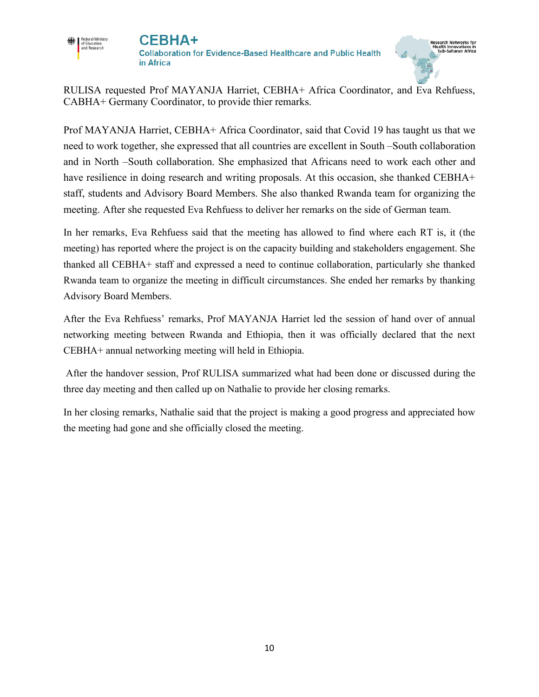



Prof MAYANJA Harriet, CEBHA+ Africa Coordinator, said that Covid 19 has taught us that we need to work together, she expressed that all countries are excellent in South –South collaboration and in North –South collaboration. She emphasized that Africans need to work each other and have resilience in doing research and writing proposals. At this occasion, she thanked CEBHA+ staff, students and Advisory Board Members. She also thanked Rwanda team for organizing the meeting. After she requested Eva Rehfuess to deliver her remarks on the side of German team.

In her remarks, Eva Rehfuess said that the meeting has allowed to find where each RT is, it (the meeting) has reported where the project is on the capacity building and stakeholders engagement. She thanked all CEBHA+ staff and expressed a need to continue collaboration, particularly she thanked Rwanda team to organize the meeting in difficult circumstances. She ended her remarks by thanking Advisory Board Members.

After the Eva Rehfuess' remarks, Prof MAYANJA Harriet led the session of hand over of annual networking meeting between Rwanda and Ethiopia, then it was officially declared that the next CEBHA+ annual networking meeting will held in Ethiopia.

After the handover session, Prof RULISA summarized what had been done or discussed during the three day meeting and then called up on Nathalie to provide her closing remarks.

In her closing remarks, Nathalie said that the project is making a good progress and appreciated how the meeting had gone and she officially closed the meeting.